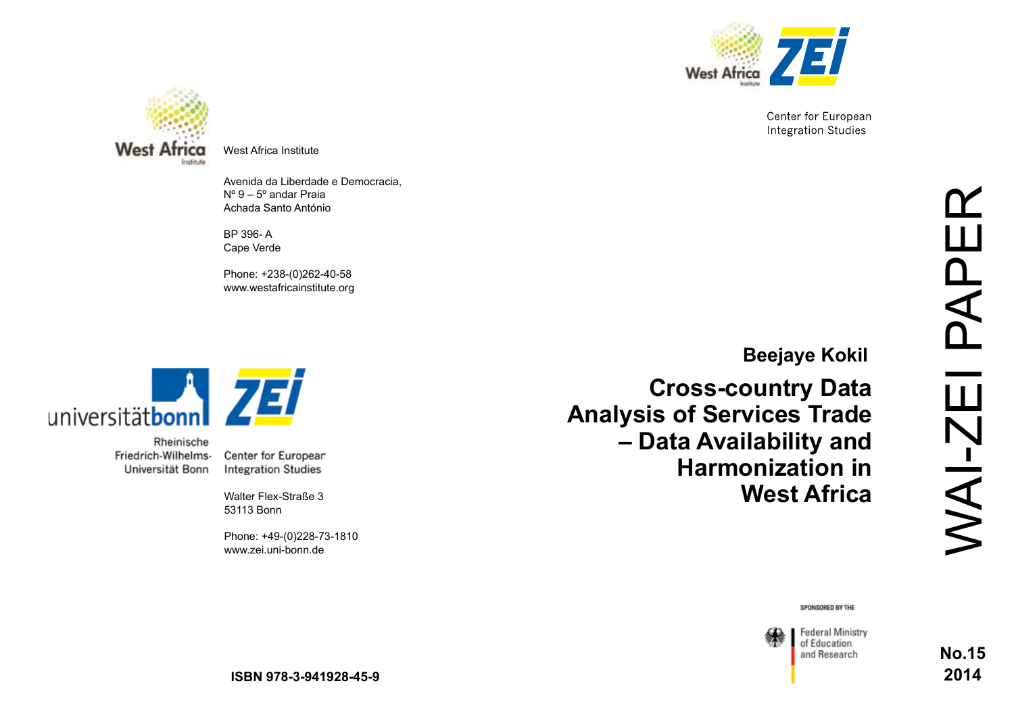

Center for European **Integration Studies** 



West Africa Institute

Avenida da Liberdade e Democracia, Nº 9 – 5º andar Praia Achada Santo António

BP 396- A Cape Verde

Phone: +238-(0)262-40-58 www.westafricainstitute.org



Rheinische Friedrich-Wilhelms-Universität Bonn

Center for European **Integration Studies** 

Walter Flex-Straße 3 53113 Bonn

Phone: +49-(0)228-73-1810 www.zei.uni-bonn.de

**Beejaye Kokil**

**Cross-country Data Analysis of Services Trade – Data Availability and Harmonization in West Africa**

SPONSORED BY THE



**No.15 2014**

**ISBN 978-3-941928-45-9**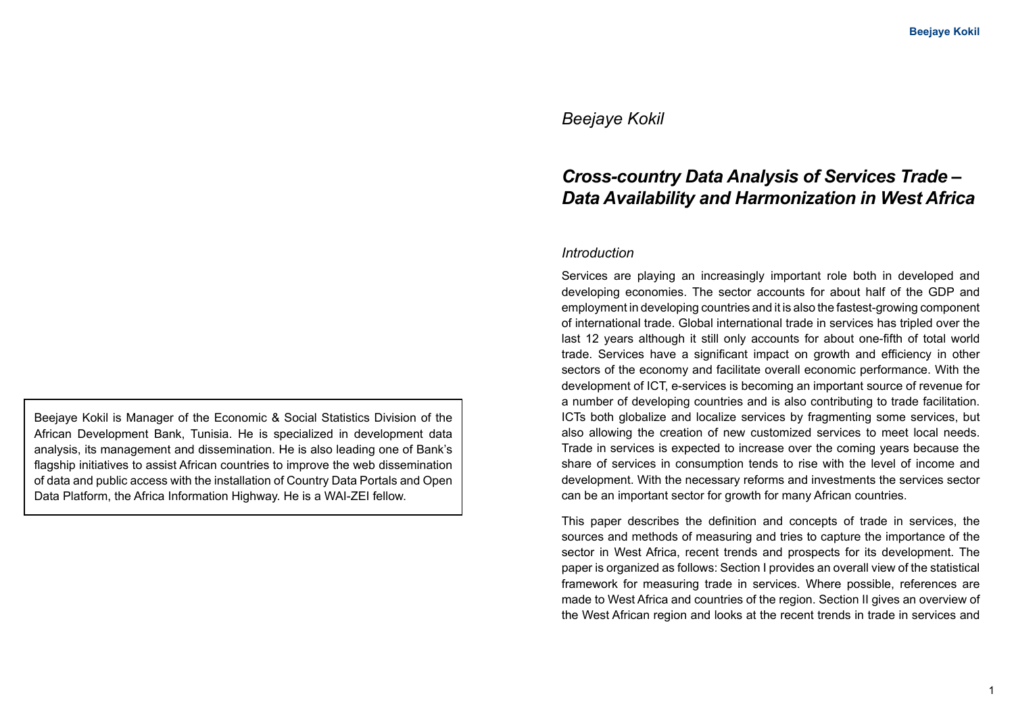## *Beejaye Kokil*

# *Cross-country Data Analysis of Services Trade – Data Availability and Harmonization in West Africa*

#### *Introduction*

Services are playing an increasingly important role both in developed and developing economies. The sector accounts for about half of the GDP and employment in developing countries and it is also the fastest-growing component of international trade. Global international trade in services has tripled over the last 12 years although it still only accounts for about one-fifth of total world trade. Services have a significant impact on growth and efficiency in other sectors of the economy and facilitate overall economic performance. With the development of ICT, e-services is becoming an important source of revenue for a number of developing countries and is also contributing to trade facilitation. ICTs both globalize and localize services by fragmenting some services, but also allowing the creation of new customized services to meet local needs. Trade in services is expected to increase over the coming years because the share of services in consumption tends to rise with the level of income and development. With the necessary reforms and investments the services sector can be an important sector for growth for many African countries.

This paper describes the definition and concepts of trade in services, the sources and methods of measuring and tries to capture the importance of the sector in West Africa, recent trends and prospects for its development. The paper is organized as follows: Section I provides an overall view of the statistical framework for measuring trade in services. Where possible, references are made to West Africa and countries of the region. Section II gives an overview of the West African region and looks at the recent trends in trade in services and

Beejaye Kokil is Manager of the Economic & Social Statistics Division of the African Development Bank, Tunisia. He is specialized in development data analysis, its management and dissemination. He is also leading one of Bank's flagship initiatives to assist African countries to improve the web dissemination of data and public access with the installation of Country Data Portals and Open Data Platform, the Africa Information Highway. He is a WAI-ZEI fellow.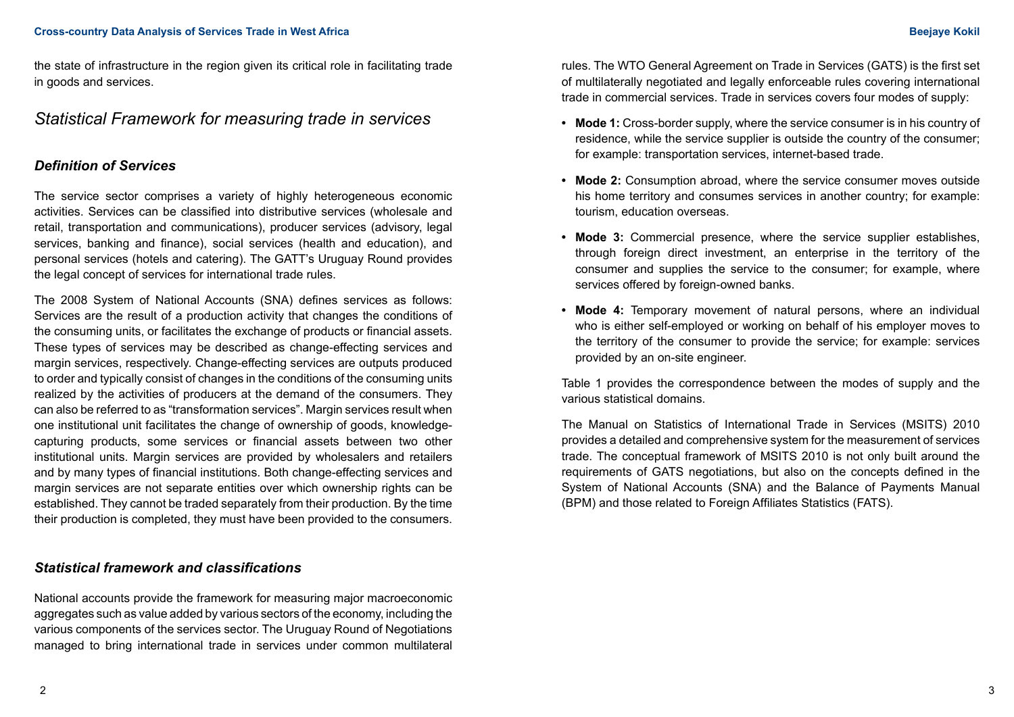#### **Cross-country Data Analysis of Services Trade in West Africa Beejaye Kokil**

the state of infrastructure in the region given its critical role in facilitating trade in goods and services.

## *Statistical Framework for measuring trade in services*

## *Definition of Services*

The service sector comprises a variety of highly heterogeneous economic activities. Services can be classified into distributive services (wholesale and retail, transportation and communications), producer services (advisory, legal services, banking and finance), social services (health and education), and personal services (hotels and catering). The GATT's Uruguay Round provides the legal concept of services for international trade rules.

The 2008 System of National Accounts (SNA) defines services as follows: Services are the result of a production activity that changes the conditions of the consuming units, or facilitates the exchange of products or financial assets. These types of services may be described as change-effecting services and margin services, respectively. Change-effecting services are outputs produced to order and typically consist of changes in the conditions of the consuming units realized by the activities of producers at the demand of the consumers. They can also be referred to as "transformation services". Margin services result when one institutional unit facilitates the change of ownership of goods, knowledgecapturing products, some services or financial assets between two other institutional units. Margin services are provided by wholesalers and retailers and by many types of financial institutions. Both change-effecting services and margin services are not separate entities over which ownership rights can be established. They cannot be traded separately from their production. By the time their production is completed, they must have been provided to the consumers.

## *Statistical framework and classifications*

National accounts provide the framework for measuring major macroeconomic aggregates such as value added by various sectors of the economy, including the various components of the services sector. The Uruguay Round of Negotiations managed to bring international trade in services under common multilateral rules. The WTO General Agreement on Trade in Services (GATS) is the first set of multilaterally negotiated and legally enforceable rules covering international trade in commercial services. Trade in services covers four modes of supply:

- **• Mode 1:** Cross-border supply, where the service consumer is in his country of residence, while the service supplier is outside the country of the consumer; for example: transportation services, internet-based trade.
- **• Mode 2:** Consumption abroad, where the service consumer moves outside his home territory and consumes services in another country; for example: tourism, education overseas.
- **• Mode 3:** Commercial presence, where the service supplier establishes, through foreign direct investment, an enterprise in the territory of the consumer and supplies the service to the consumer; for example, where services offered by foreign-owned banks.
- **• Mode 4:** Temporary movement of natural persons, where an individual who is either self-employed or working on behalf of his employer moves to the territory of the consumer to provide the service; for example: services provided by an on-site engineer.

Table 1 provides the correspondence between the modes of supply and the various statistical domains.

The Manual on Statistics of International Trade in Services (MSITS) 2010 provides a detailed and comprehensive system for the measurement of services trade. The conceptual framework of MSITS 2010 is not only built around the requirements of GATS negotiations, but also on the concepts defined in the System of National Accounts (SNA) and the Balance of Payments Manual (BPM) and those related to Foreign Affiliates Statistics (FATS).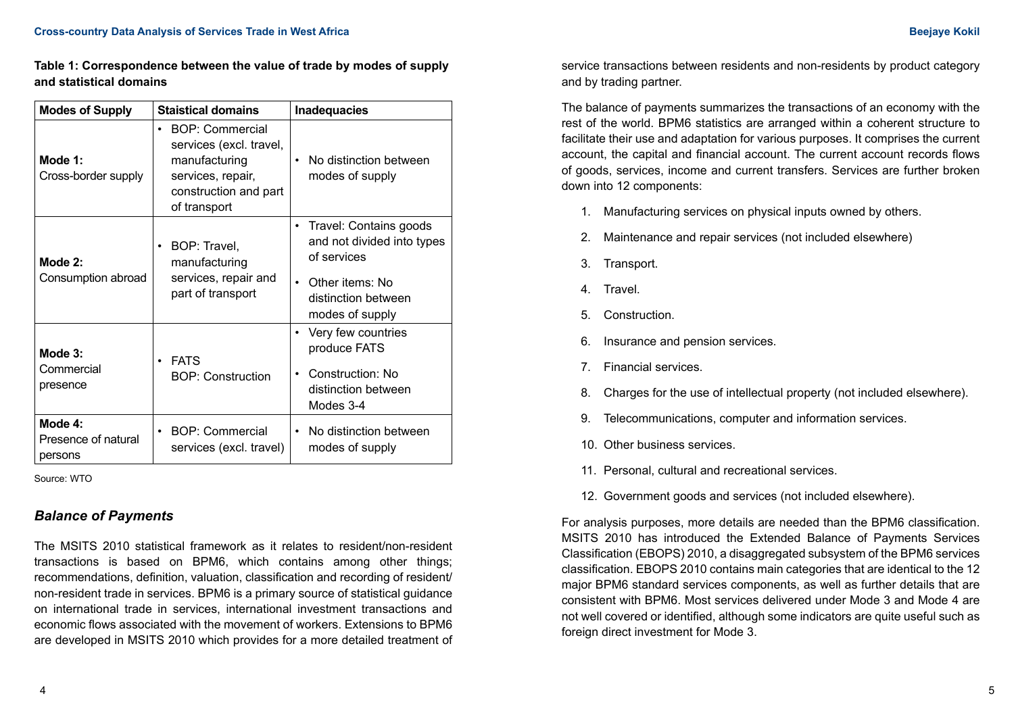**Table 1: Correspondence between the value of trade by modes of supply and statistical domains** 

| <b>Modes of Supply</b>                    | <b>Staistical domains</b>                                                                                                              | <b>Inadequacies</b>                                                                                                                                        |
|-------------------------------------------|----------------------------------------------------------------------------------------------------------------------------------------|------------------------------------------------------------------------------------------------------------------------------------------------------------|
| Mode 1:<br>Cross-border supply            | BOP: Commercial<br>$\bullet$<br>services (excl. travel,<br>manufacturing<br>services, repair,<br>construction and part<br>of transport | No distinction between<br>$\bullet$<br>modes of supply                                                                                                     |
| Mode 2:<br>Consumption abroad             | BOP: Travel,<br>٠<br>manufacturing<br>services, repair and<br>part of transport                                                        | Travel: Contains goods<br>$\bullet$<br>and not divided into types<br>of services<br>Other items: No<br>$\bullet$<br>distinction between<br>modes of supply |
| Mode 3:<br>Commercial<br>presence         | <b>FATS</b><br>$\bullet$<br><b>BOP: Construction</b>                                                                                   | Very few countries<br>$\bullet$<br>produce FATS<br>Construction: No<br>$\bullet$<br>distinction between<br>Modes 3-4                                       |
| Mode 4:<br>Presence of natural<br>persons | BOP: Commercial<br>$\bullet$<br>services (excl. travel)                                                                                | No distinction between<br>$\bullet$<br>modes of supply                                                                                                     |

Source: WTO

## *Balance of Payments*

The MSITS 2010 statistical framework as it relates to resident/non-resident transactions is based on BPM6, which contains among other things; recommendations, definition, valuation, classification and recording of resident/ non-resident trade in services. BPM6 is a primary source of statistical guidance on international trade in services, international investment transactions and economic flows associated with the movement of workers. Extensions to BPM6 are developed in MSITS 2010 which provides for a more detailed treatment of service transactions between residents and non-residents by product category and by trading partner.

The balance of payments summarizes the transactions of an economy with the rest of the world. BPM6 statistics are arranged within a coherent structure to facilitate their use and adaptation for various purposes. It comprises the current account, the capital and financial account. The current account records flows of goods, services, income and current transfers. Services are further broken down into 12 components:

- 1. Manufacturing services on physical inputs owned by others.
- 2. Maintenance and repair services (not included elsewhere)
- 3. Transport.
- 4. Travel.
- 5. Construction.
- 6. Insurance and pension services.
- 7. Financial services.
- 8. Charges for the use of intellectual property (not included elsewhere).
- 9. Telecommunications, computer and information services.
- 10. Other business services.
- 11. Personal, cultural and recreational services.
- 12. Government goods and services (not included elsewhere).

For analysis purposes, more details are needed than the BPM6 classification. MSITS 2010 has introduced the Extended Balance of Payments Services Classification (EBOPS) 2010, a disaggregated subsystem of the BPM6 services classification. EBOPS 2010 contains main categories that are identical to the 12 major BPM6 standard services components, as well as further details that are consistent with BPM6. Most services delivered under Mode 3 and Mode 4 are not well covered or identified, although some indicators are quite useful such as foreign direct investment for Mode 3.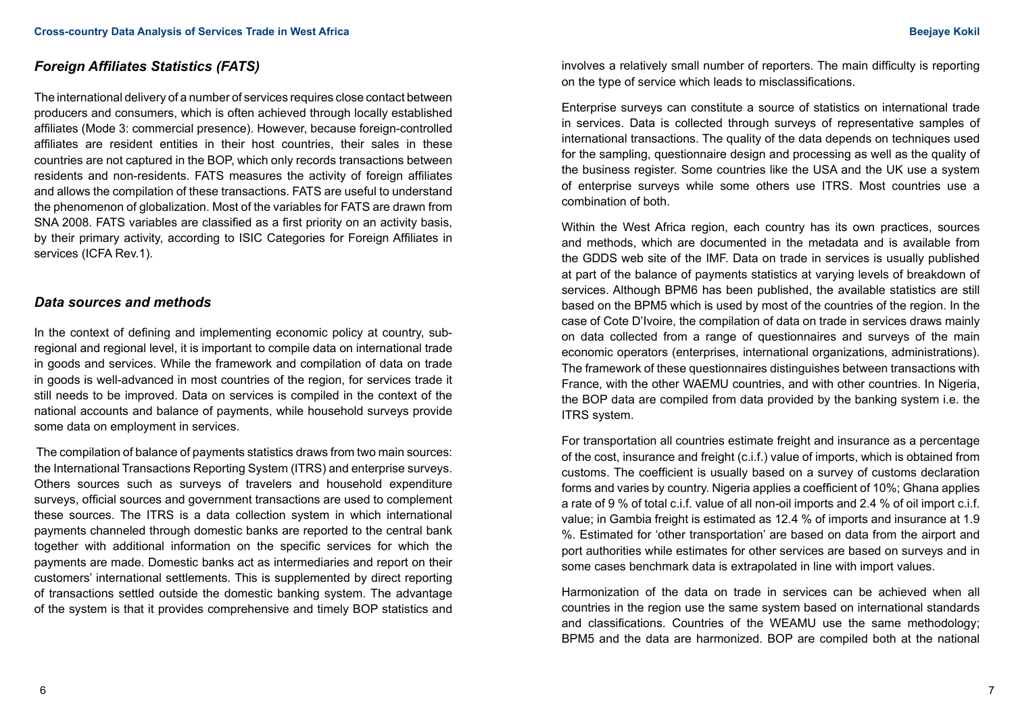## *Foreign Affiliates Statistics (FATS)*

The international delivery of a number of services requires close contact between producers and consumers, which is often achieved through locally established affiliates (Mode 3: commercial presence). However, because foreign-controlled affiliates are resident entities in their host countries, their sales in these countries are not captured in the BOP, which only records transactions between residents and non-residents. FATS measures the activity of foreign affiliates and allows the compilation of these transactions. FATS are useful to understand the phenomenon of globalization. Most of the variables for FATS are drawn from SNA 2008. FATS variables are classified as a first priority on an activity basis, by their primary activity, according to ISIC Categories for Foreign Affiliates in services (ICFA Rev.1).

#### *Data sources and methods*

In the context of defining and implementing economic policy at country, subregional and regional level, it is important to compile data on international trade in goods and services. While the framework and compilation of data on trade in goods is well-advanced in most countries of the region, for services trade it still needs to be improved. Data on services is compiled in the context of the national accounts and balance of payments, while household surveys provide some data on employment in services.

 The compilation of balance of payments statistics draws from two main sources: the International Transactions Reporting System (ITRS) and enterprise surveys. Others sources such as surveys of travelers and household expenditure surveys, official sources and government transactions are used to complement these sources. The ITRS is a data collection system in which international payments channeled through domestic banks are reported to the central bank together with additional information on the specific services for which the payments are made. Domestic banks act as intermediaries and report on their customers' international settlements. This is supplemented by direct reporting of transactions settled outside the domestic banking system. The advantage of the system is that it provides comprehensive and timely BOP statistics and

involves a relatively small number of reporters. The main difficulty is reporting on the type of service which leads to misclassifications.

Enterprise surveys can constitute a source of statistics on international trade in services. Data is collected through surveys of representative samples of international transactions. The quality of the data depends on techniques used for the sampling, questionnaire design and processing as well as the quality of the business register. Some countries like the USA and the UK use a system of enterprise surveys while some others use ITRS. Most countries use a combination of both.

Within the West Africa region, each country has its own practices, sources and methods, which are documented in the metadata and is available from the GDDS web site of the IMF. Data on trade in services is usually published at part of the balance of payments statistics at varying levels of breakdown of services. Although BPM6 has been published, the available statistics are still based on the BPM5 which is used by most of the countries of the region. In the case of Cote D'Ivoire, the compilation of data on trade in services draws mainly on data collected from a range of questionnaires and surveys of the main economic operators (enterprises, international organizations, administrations). The framework of these questionnaires distinguishes between transactions with France, with the other WAEMU countries, and with other countries. In Nigeria, the BOP data are compiled from data provided by the banking system i.e. the ITRS system.

For transportation all countries estimate freight and insurance as a percentage of the cost, insurance and freight (c.i.f.) value of imports, which is obtained from customs. The coefficient is usually based on a survey of customs declaration forms and varies by country. Nigeria applies a coefficient of 10%; Ghana applies a rate of 9 % of total c.i.f. value of all non-oil imports and 2.4 % of oil import c.i.f. value; in Gambia freight is estimated as 12.4 % of imports and insurance at 1.9 %. Estimated for 'other transportation' are based on data from the airport and port authorities while estimates for other services are based on surveys and in some cases benchmark data is extrapolated in line with import values.

Harmonization of the data on trade in services can be achieved when all countries in the region use the same system based on international standards and classifications. Countries of the WEAMU use the same methodology; BPM5 and the data are harmonized. BOP are compiled both at the national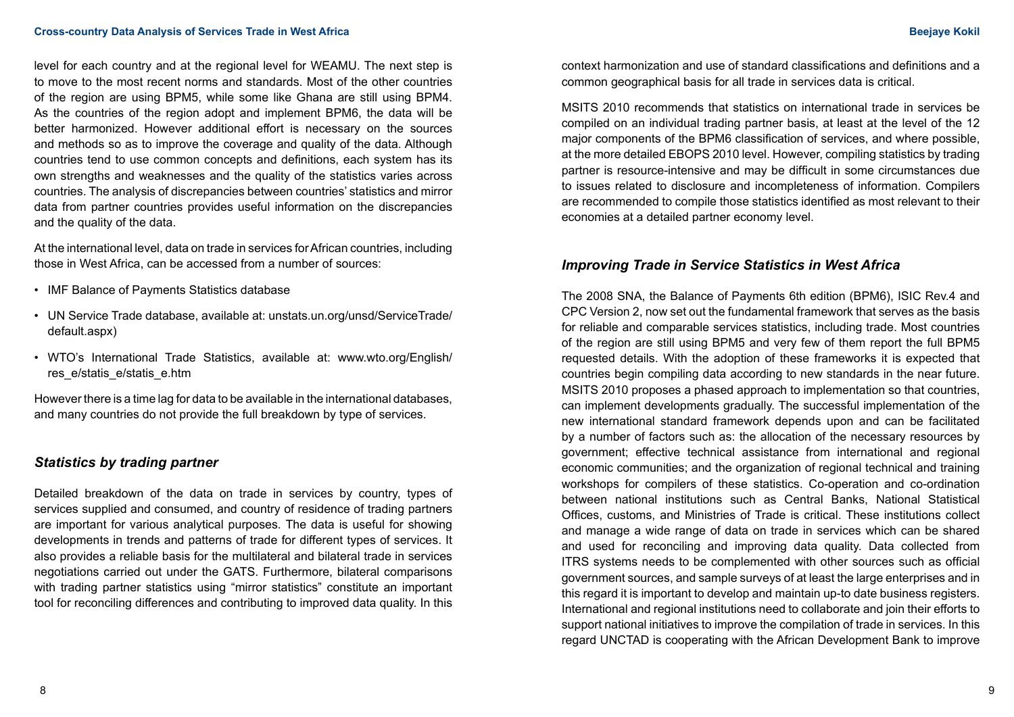level for each country and at the regional level for WEAMU. The next step is to move to the most recent norms and standards. Most of the other countries of the region are using BPM5, while some like Ghana are still using BPM4. As the countries of the region adopt and implement BPM6, the data will be better harmonized. However additional effort is necessary on the sources and methods so as to improve the coverage and quality of the data. Although countries tend to use common concepts and definitions, each system has its own strengths and weaknesses and the quality of the statistics varies across countries. The analysis of discrepancies between countries' statistics and mirror data from partner countries provides useful information on the discrepancies and the quality of the data.

At the international level, data on trade in services for African countries, including those in West Africa, can be accessed from a number of sources:

- IMF Balance of Payments Statistics database
- UN Service Trade database, available at: unstats.un.org/unsd/ServiceTrade/ default.aspx)
- WTO's International Trade Statistics, available at: www.wto.org/English/ res\_e/statis\_e/statis\_e.htm

However there is a time lag for data to be available in the international databases, and many countries do not provide the full breakdown by type of services.

## *Statistics by trading partner*

Detailed breakdown of the data on trade in services by country, types of services supplied and consumed, and country of residence of trading partners are important for various analytical purposes. The data is useful for showing developments in trends and patterns of trade for different types of services. It also provides a reliable basis for the multilateral and bilateral trade in services negotiations carried out under the GATS. Furthermore, bilateral comparisons with trading partner statistics using "mirror statistics" constitute an important tool for reconciling differences and contributing to improved data quality. In this

context harmonization and use of standard classifications and definitions and a common geographical basis for all trade in services data is critical.

MSITS 2010 recommends that statistics on international trade in services be compiled on an individual trading partner basis, at least at the level of the 12 major components of the BPM6 classification of services, and where possible, at the more detailed EBOPS 2010 level. However, compiling statistics by trading partner is resource-intensive and may be difficult in some circumstances due to issues related to disclosure and incompleteness of information. Compilers are recommended to compile those statistics identified as most relevant to their economies at a detailed partner economy level.

## *Improving Trade in Service Statistics in West Africa*

The 2008 SNA, the Balance of Payments 6th edition (BPM6), ISIC Rev.4 and CPC Version 2, now set out the fundamental framework that serves as the basis for reliable and comparable services statistics, including trade. Most countries of the region are still using BPM5 and very few of them report the full BPM5 requested details. With the adoption of these frameworks it is expected that countries begin compiling data according to new standards in the near future. MSITS 2010 proposes a phased approach to implementation so that countries, can implement developments gradually. The successful implementation of the new international standard framework depends upon and can be facilitated by a number of factors such as: the allocation of the necessary resources by government; effective technical assistance from international and regional economic communities; and the organization of regional technical and training workshops for compilers of these statistics. Co-operation and co-ordination between national institutions such as Central Banks, National Statistical Offices, customs, and Ministries of Trade is critical. These institutions collect and manage a wide range of data on trade in services which can be shared and used for reconciling and improving data quality. Data collected from ITRS systems needs to be complemented with other sources such as official government sources, and sample surveys of at least the large enterprises and in this regard it is important to develop and maintain up-to date business registers. International and regional institutions need to collaborate and join their efforts to support national initiatives to improve the compilation of trade in services. In this regard UNCTAD is cooperating with the African Development Bank to improve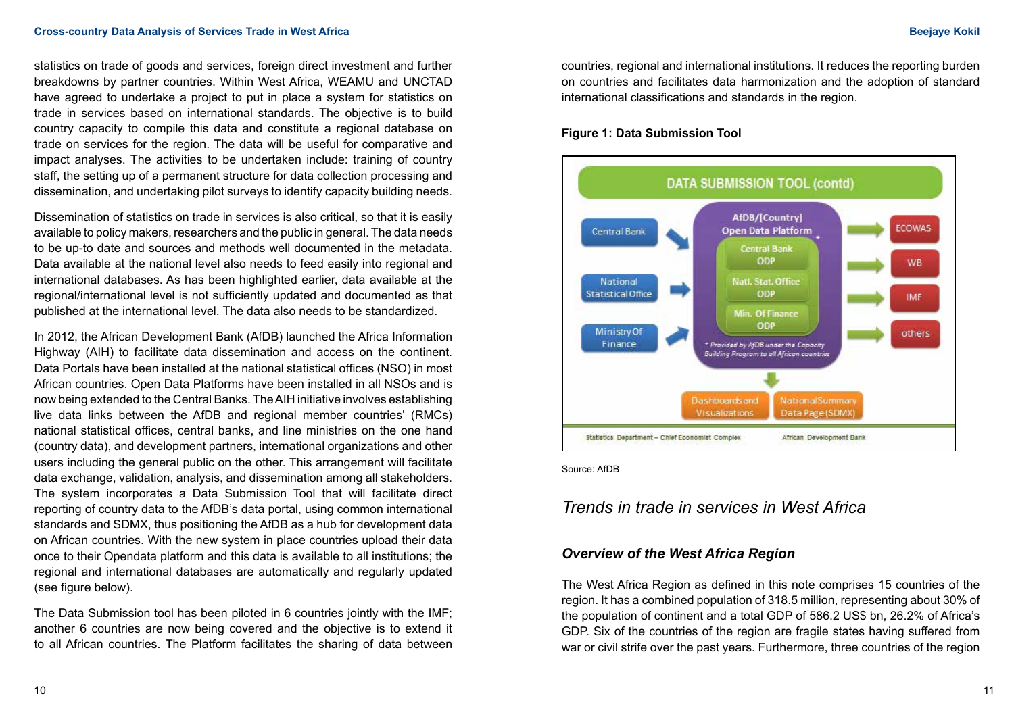statistics on trade of goods and services, foreign direct investment and further breakdowns by partner countries. Within West Africa, WEAMU and UNCTAD have agreed to undertake a project to put in place a system for statistics on trade in services based on international standards. The objective is to build country capacity to compile this data and constitute a regional database on trade on services for the region. The data will be useful for comparative and impact analyses. The activities to be undertaken include: training of country staff, the setting up of a permanent structure for data collection processing and dissemination, and undertaking pilot surveys to identify capacity building needs.

Dissemination of statistics on trade in services is also critical, so that it is easily available to policy makers, researchers and the public in general. The data needs to be up-to date and sources and methods well documented in the metadata. Data available at the national level also needs to feed easily into regional and international databases. As has been highlighted earlier, data available at the regional/international level is not sufficiently updated and documented as that published at the international level. The data also needs to be standardized.

In 2012, the African Development Bank (AfDB) launched the Africa Information Highway (AIH) to facilitate data dissemination and access on the continent. Data Portals have been installed at the national statistical offices (NSO) in most African countries. Open Data Platforms have been installed in all NSOs and is now being extended to the Central Banks. The AIH initiative involves establishing live data links between the AfDB and regional member countries' (RMCs) national statistical offices, central banks, and line ministries on the one hand (country data), and development partners, international organizations and other users including the general public on the other. This arrangement will facilitate data exchange, validation, analysis, and dissemination among all stakeholders. The system incorporates a Data Submission Tool that will facilitate direct reporting of country data to the AfDB's data portal, using common international standards and SDMX, thus positioning the AfDB as a hub for development data on African countries. With the new system in place countries upload their data once to their Opendata platform and this data is available to all institutions; the regional and international databases are automatically and regularly updated (see figure below).

The Data Submission tool has been piloted in 6 countries jointly with the IMF; another 6 countries are now being covered and the objective is to extend it to all African countries. The Platform facilitates the sharing of data between countries, regional and international institutions. It reduces the reporting burden on countries and facilitates data harmonization and the adoption of standard international classifications and standards in the region.

#### **Figure 1: Data Submission Tool**



Source: AfDB

# *Trends in trade in services in West Africa*

#### *Overview of the West Africa Region*

The West Africa Region as defined in this note comprises 15 countries of the region. It has a combined population of 318.5 million, representing about 30% of the population of continent and a total GDP of 586.2 US\$ bn, 26.2% of Africa's GDP. Six of the countries of the region are fragile states having suffered from war or civil strife over the past years. Furthermore, three countries of the region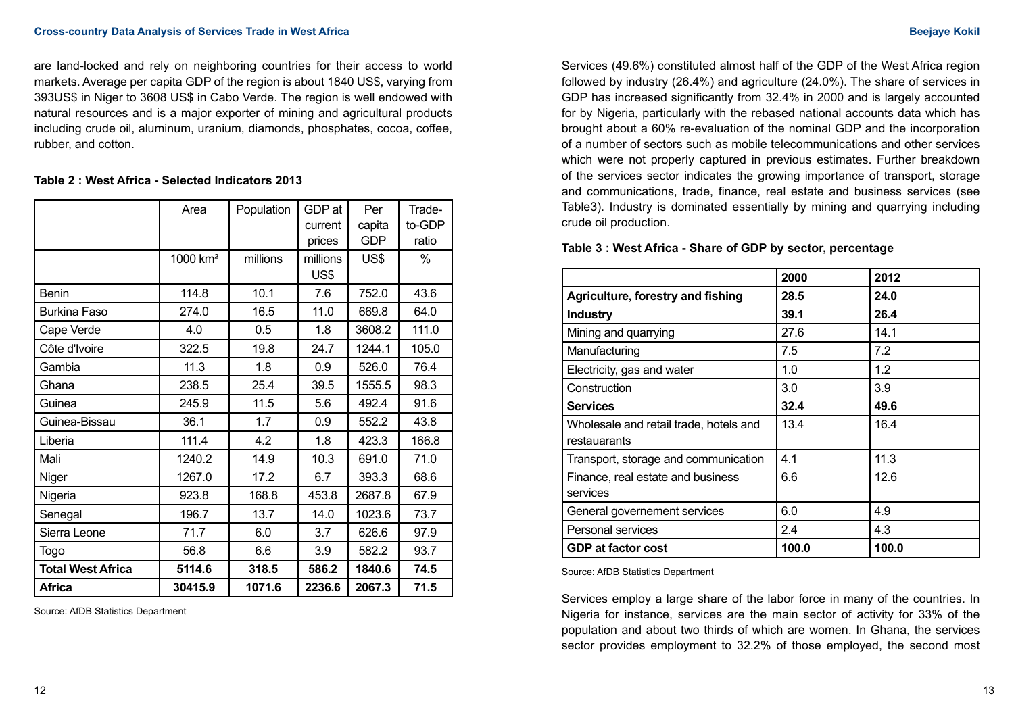are land-locked and rely on neighboring countries for their access to world markets. Average per capita GDP of the region is about 1840 US\$, varying from 393US\$ in Niger to 3608 US\$ in Cabo Verde. The region is well endowed with natural resources and is a major exporter of mining and agricultural products including crude oil, aluminum, uranium, diamonds, phosphates, cocoa, coffee, rubber, and cotton.

#### **Table 2 : West Africa - Selected Indicators 2013**

|                          | Area                 | Population | GDP at   | Per        | Trade- |
|--------------------------|----------------------|------------|----------|------------|--------|
|                          |                      |            | current  | capita     | to-GDP |
|                          |                      |            | prices   | <b>GDP</b> | ratio  |
|                          | 1000 km <sup>2</sup> | millions   | millions | US\$       | $\%$   |
|                          |                      |            | US\$     |            |        |
| Benin                    | 114.8                | 10.1       | 7.6      | 752.0      | 43.6   |
| <b>Burkina Faso</b>      | 274.0                | 16.5       | 11.0     | 669.8      | 64.0   |
| Cape Verde               | 4.0                  | 0.5        | 1.8      | 3608.2     | 111.0  |
| Côte d'Ivoire            | 322.5                | 19.8       | 24.7     | 1244.1     | 105.0  |
| Gambia                   | 11.3                 | 1.8        | 0.9      | 526.0      | 76.4   |
| Ghana                    | 238.5                | 25.4       | 39.5     | 1555.5     | 98.3   |
| Guinea                   | 245.9                | 11.5       | 5.6      | 492.4      | 91.6   |
| Guinea-Bissau            | 36.1                 | 1.7        | 0.9      | 552.2      | 43.8   |
| Liberia                  | 111.4                | 4.2        | 1.8      | 423.3      | 166.8  |
| Mali                     | 1240.2               | 14.9       | 10.3     | 691.0      | 71.0   |
| Niger                    | 1267.0               | 17.2       | 6.7      | 393.3      | 68.6   |
| Nigeria                  | 923.8                | 168.8      | 453.8    | 2687.8     | 67.9   |
| Senegal                  | 196.7                | 13.7       | 14.0     | 1023.6     | 73.7   |
| Sierra Leone             | 71.7                 | 6.0        | 3.7      | 626.6      | 97.9   |
| Togo                     | 56.8                 | 6.6        | 3.9      | 582.2      | 93.7   |
| <b>Total West Africa</b> | 5114.6               | 318.5      | 586.2    | 1840.6     | 74.5   |
| Africa                   | 30415.9              | 1071.6     | 2236.6   | 2067.3     | 71.5   |

Source: AfDB Statistics Department

Services (49.6%) constituted almost half of the GDP of the West Africa region followed by industry (26.4%) and agriculture (24.0%). The share of services in GDP has increased significantly from 32.4% in 2000 and is largely accounted for by Nigeria, particularly with the rebased national accounts data which has brought about a 60% re-evaluation of the nominal GDP and the incorporation of a number of sectors such as mobile telecommunications and other services which were not properly captured in previous estimates. Further breakdown of the services sector indicates the growing importance of transport, storage and communications, trade, finance, real estate and business services (see Table3). Industry is dominated essentially by mining and quarrying including crude oil production.

#### **Table 3 : West Africa - Share of GDP by sector, percentage**

|                                                        | 2000  | 2012  |
|--------------------------------------------------------|-------|-------|
| Agriculture, forestry and fishing                      | 28.5  | 24.0  |
| <b>Industry</b>                                        | 39.1  | 26.4  |
| Mining and quarrying                                   | 27.6  | 14.1  |
| Manufacturing                                          | 7.5   | 7.2   |
| Electricity, gas and water                             | 1.0   | 1.2   |
| Construction                                           | 3.0   | 3.9   |
| <b>Services</b>                                        | 32.4  | 49.6  |
| Wholesale and retail trade, hotels and<br>restauarants | 13.4  | 16.4  |
| Transport, storage and communication                   | 4.1   | 11.3  |
| Finance, real estate and business<br>services          | 6.6   | 12.6  |
| General governement services                           | 6.0   | 4.9   |
| Personal services                                      | 2.4   | 4.3   |
| <b>GDP at factor cost</b>                              | 100.0 | 100.0 |

Source: AfDB Statistics Department

Services employ a large share of the labor force in many of the countries. In Nigeria for instance, services are the main sector of activity for 33% of the population and about two thirds of which are women. In Ghana, the services sector provides employment to 32.2% of those employed, the second most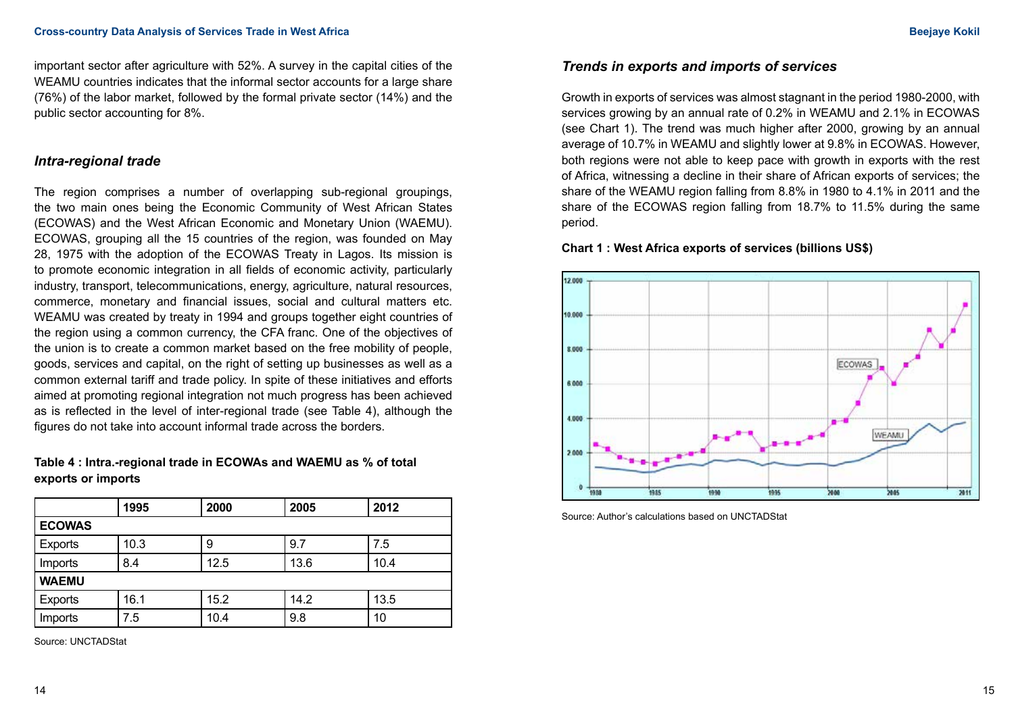important sector after agriculture with 52%. A survey in the capital cities of the WEAMU countries indicates that the informal sector accounts for a large share (76%) of the labor market, followed by the formal private sector (14%) and the public sector accounting for 8%.

### *Intra-regional trade*

The region comprises a number of overlapping sub-regional groupings, the two main ones being the Economic Community of West African States (ECOWAS) and the West African Economic and Monetary Union (WAEMU). ECOWAS, grouping all the 15 countries of the region, was founded on May 28, 1975 with the adoption of the ECOWAS Treaty in Lagos. Its mission is to promote economic integration in all fields of economic activity, particularly industry, transport, telecommunications, energy, agriculture, natural resources, commerce, monetary and financial issues, social and cultural matters etc. WEAMU was created by treaty in 1994 and groups together eight countries of the region using a common currency, the CFA franc. One of the objectives of the union is to create a common market based on the free mobility of people, goods, services and capital, on the right of setting up businesses as well as a common external tariff and trade policy. In spite of these initiatives and efforts aimed at promoting regional integration not much progress has been achieved as is reflected in the level of inter-regional trade (see Table 4), although the figures do not take into account informal trade across the borders.

### **Table 4 : Intra.-regional trade in ECOWAs and WAEMU as % of total exports or imports**

|                | 1995 | 2000 | 2005 | 2012 |
|----------------|------|------|------|------|
| <b>ECOWAS</b>  |      |      |      |      |
| <b>Exports</b> | 10.3 | 9    | 9.7  | 7.5  |
| Imports        | 8.4  | 12.5 | 13.6 | 10.4 |
| <b>WAEMU</b>   |      |      |      |      |
| Exports        | 16.1 | 15.2 | 14.2 | 13.5 |
| Imports        | 7.5  | 10.4 | 9.8  | 10   |

Source: UNCTADStat

## *Trends in exports and imports of services*

Growth in exports of services was almost stagnant in the period 1980-2000, with services growing by an annual rate of 0.2% in WEAMU and 2.1% in ECOWAS (see Chart 1). The trend was much higher after 2000, growing by an annual average of 10.7% in WEAMU and slightly lower at 9.8% in ECOWAS. However, both regions were not able to keep pace with growth in exports with the rest of Africa, witnessing a decline in their share of African exports of services; the share of the WEAMU region falling from 8.8% in 1980 to 4.1% in 2011 and the share of the ECOWAS region falling from 18.7% to 11.5% during the same period.

#### **Chart 1 : West Africa exports of services (billions US\$)**



Source: Author's calculations based on UNCTADStat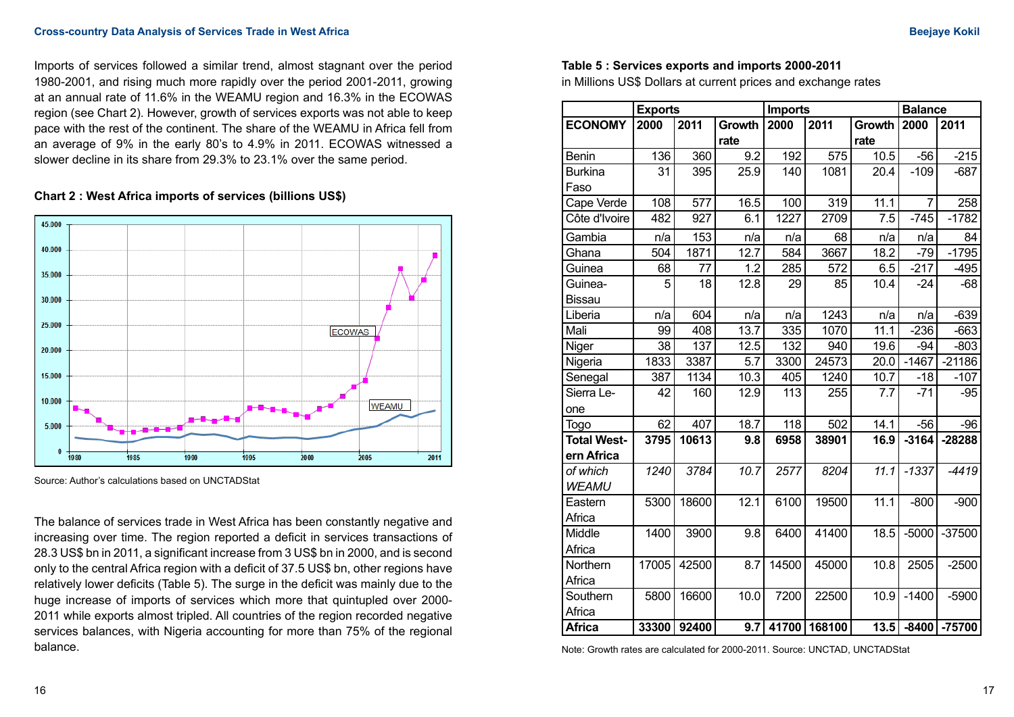Imports of services followed a similar trend, almost stagnant over the period 1980-2001, and rising much more rapidly over the period 2001-2011, growing at an annual rate of 11.6% in the WEAMU region and 16.3% in the ECOWAS region (see Chart 2). However, growth of services exports was not able to keep pace with the rest of the continent. The share of the WEAMU in Africa fell from an average of 9% in the early 80's to 4.9% in 2011. ECOWAS witnessed a slower decline in its share from 29.3% to 23.1% over the same period.





Source: Author's calculations based on UNCTADStat

The balance of services trade in West Africa has been constantly negative and increasing over time. The region reported a deficit in services transactions of 28.3 US\$ bn in 2011, a significant increase from 3 US\$ bn in 2000, and is second only to the central Africa region with a deficit of 37.5 US\$ bn, other regions have relatively lower deficits (Table 5). The surge in the deficit was mainly due to the huge increase of imports of services which more that quintupled over 2000- 2011 while exports almost tripled. All countries of the region recorded negative services balances, with Nigeria accounting for more than 75% of the regional balance.

#### **Table 5 : Services exports and imports 2000-2011**

in Millions US\$ Dollars at current prices and exchange rates

|                    | <b>Exports</b>       |                    |        | <b>Imports</b>    |         |         | <b>Balance</b> |          |  |
|--------------------|----------------------|--------------------|--------|-------------------|---------|---------|----------------|----------|--|
| <b>ECONOMY</b>     | 2000                 | 2011               | Growth | 2000              | 2011    | Growth  | 2000           | 2011     |  |
|                    |                      |                    | rate   |                   |         | rate    |                |          |  |
| <b>Benin</b>       | 136                  | 360                | 9.2    | 192               | 575     | 10.5    | $-56$          | $-215$   |  |
| <b>Burkina</b>     | 31                   | 395                | 25.9   | 140               | 1081    | 20.4    | $-109$         | $-687$   |  |
| Faso               |                      |                    |        |                   |         |         |                |          |  |
| Cape Verde         | 108                  | $\overline{577}$   | 16.5   | 100               | 319     | 11.1    | $\overline{7}$ | 258      |  |
| Côte d'Ivoire      | 482                  | 927                | 6.1    | 1227              | 2709    | 7.5     | $-745$         | $-1782$  |  |
| Gambia             | n/a                  | 153                | n/a    | n/a               | 68      | n/a     | n/a            | 84       |  |
| Ghana              | 504                  | 1871               | 12.7   | 584               | 3667    | 18.2    | $-79$          | $-1795$  |  |
| Guinea             | 68                   | 77                 | 1.2    | 285               | 572     | 6.5     | $-217$         | $-495$   |  |
| Guinea-            | 5                    | 18                 | 12.8   | 29                | 85      | 10.4    | $-24$          | $-68$    |  |
| <b>Bissau</b>      |                      |                    |        |                   |         |         |                |          |  |
| Liberia            | n/a                  | 604                | n/a    | n/a               | 1243    | n/a     | n/a            | $-639$   |  |
| Mali               | 99                   | 408                | 13.7   | 335               | 1070    | 11.1    | $-236$         | $-663$   |  |
| Niger              | 38                   | 137                | 12.5   | 132               | 940     | 19.6    | $-94$          | $-803$   |  |
| Nigeria            | 1833                 | 3387               | 5.7    | 3300              | 24573   | 20.0    | $-1467$        | $-21186$ |  |
| Senegal            | 387                  | 1134               | 10.3   | 405               | 1240    | 10.7    | $-18$          | $-107$   |  |
| Sierra Le-         | 42                   | 160<br>12.9        | 113    | 255               | 7.7     | $-71$   | $-95$          |          |  |
| one                |                      |                    |        |                   |         |         |                |          |  |
| <b>Togo</b>        | 62                   | 407<br>118<br>18.7 | 502    | 14.1              | $-56$   | $-96$   |                |          |  |
| <b>Total West-</b> | 3795<br>10613<br>9.8 | 6958               | 38901  | 16.9              | $-3164$ | -28288  |                |          |  |
| ern Africa         |                      |                    |        |                   |         |         |                |          |  |
| of which           | 3784<br>10.7<br>1240 | 2577               | 8204   | $\overline{11}.1$ | $-1337$ | $-4419$ |                |          |  |
| <b>WEAMU</b>       |                      |                    |        |                   |         |         |                |          |  |
| Eastern            | 5300                 | 18600              | 12.1   | 6100              | 19500   | 11.1    | $-800$         | $-900$   |  |
| Africa             |                      |                    |        |                   |         |         |                |          |  |
| Middle             | 1400                 | 3900               | 9.8    | 6400              | 41400   | 18.5    | $-5000$        | $-37500$ |  |
| Africa             |                      |                    |        |                   |         |         |                |          |  |
| Northern           | 17005                | 42500              | 8.7    | 14500             | 45000   | 10.8    | 2505           | $-2500$  |  |
| Africa             |                      |                    |        |                   |         |         |                |          |  |
| Southern           | 5800                 | 16600              | 10.0   | 7200              | 22500   | 10.9    | $-1400$        | $-5900$  |  |
| Africa             |                      |                    |        |                   |         |         |                |          |  |
| <b>Africa</b>      | 33300                | 92400              | 9.7    | 41700             | 168100  | 13.5    | $-8400$        | -75700   |  |

Note: Growth rates are calculated for 2000-2011. Source: UNCTAD, UNCTADStat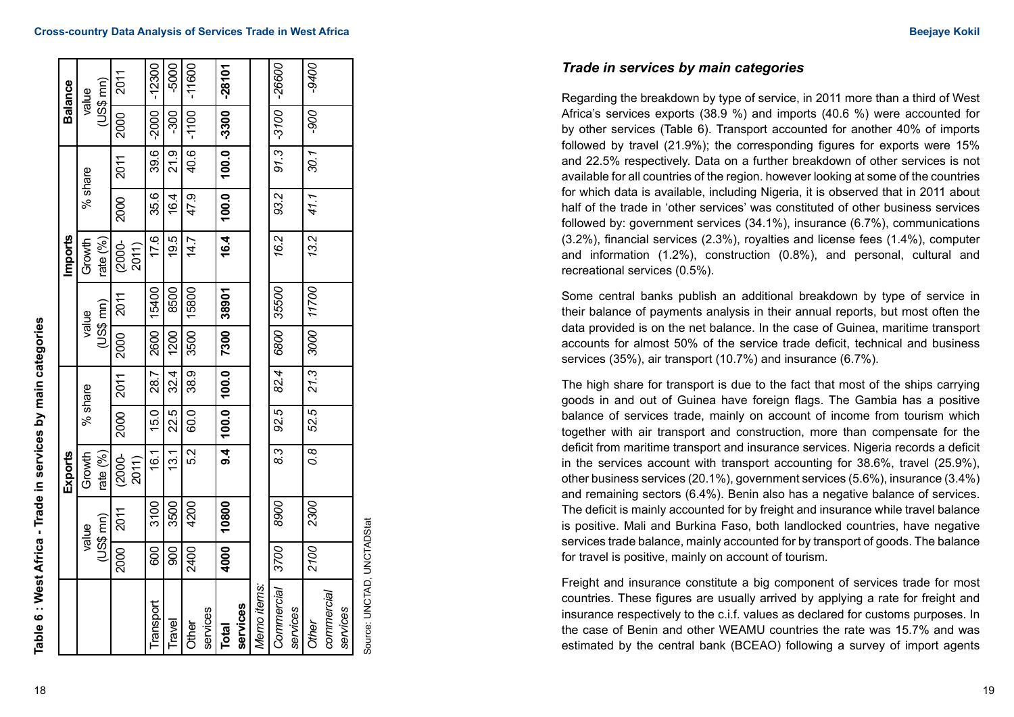| $(US$$ mn)<br>value<br>$91.3$ $-3100$<br>-3300<br>$-1100$<br>006-<br>-2000<br>$-300$<br>2000<br>39.6<br>21.9<br>40.6<br>100.0<br>30.1<br>2011<br>% share<br> 0.001<br>93.2<br>41.1<br>35.6<br>47.9<br>2000<br>16.4<br>16.4<br>17.6<br>13.2<br>16.2<br>19.5<br>14.7<br>Growth<br>rate $(\%)$<br>$(2000 -$<br>2011)<br>35500<br>11700<br>15800<br>8500<br>15400<br>38901<br>2011<br>US\$ mn)<br>value<br>  0089<br>7300<br>3000<br>2000<br>3500<br>2600<br>1200<br>82.4<br>21.3<br>32.4<br>100.0<br>38.9<br>28.7<br>2011<br>% share<br> 00.01<br>2000<br>92.5<br>52.5<br>22.5<br>15.0<br>60.0<br>$\frac{4}{9}$<br>$\frac{3}{8}$<br>$\overline{60}$<br>52<br>16.1<br>13.1<br>$(2000 -$<br>2011) |      |       | Exports |  |  | Imports |  | <b>Balance</b> |
|----------------------------------------------------------------------------------------------------------------------------------------------------------------------------------------------------------------------------------------------------------------------------------------------------------------------------------------------------------------------------------------------------------------------------------------------------------------------------------------------------------------------------------------------------------------------------------------------------------------------------------------------------------------------------------------------|------|-------|---------|--|--|---------|--|----------------|
| rate $(\%)$<br>2300<br>3500<br>4200<br>10800<br>8900<br>3100<br>2011<br>$(US$$ mn)                                                                                                                                                                                                                                                                                                                                                                                                                                                                                                                                                                                                           |      | value | Growth  |  |  |         |  |                |
|                                                                                                                                                                                                                                                                                                                                                                                                                                                                                                                                                                                                                                                                                              |      |       |         |  |  |         |  |                |
|                                                                                                                                                                                                                                                                                                                                                                                                                                                                                                                                                                                                                                                                                              | 2000 |       |         |  |  |         |  | 2011           |
|                                                                                                                                                                                                                                                                                                                                                                                                                                                                                                                                                                                                                                                                                              |      |       |         |  |  |         |  |                |
|                                                                                                                                                                                                                                                                                                                                                                                                                                                                                                                                                                                                                                                                                              | 600  |       |         |  |  |         |  | $-12300$       |
|                                                                                                                                                                                                                                                                                                                                                                                                                                                                                                                                                                                                                                                                                              | 8    |       |         |  |  |         |  | $-5000$        |
|                                                                                                                                                                                                                                                                                                                                                                                                                                                                                                                                                                                                                                                                                              | 2400 |       |         |  |  |         |  | $-11600$       |
|                                                                                                                                                                                                                                                                                                                                                                                                                                                                                                                                                                                                                                                                                              |      |       |         |  |  |         |  |                |
|                                                                                                                                                                                                                                                                                                                                                                                                                                                                                                                                                                                                                                                                                              | 4000 |       |         |  |  |         |  | -28101         |
|                                                                                                                                                                                                                                                                                                                                                                                                                                                                                                                                                                                                                                                                                              |      |       |         |  |  |         |  |                |
|                                                                                                                                                                                                                                                                                                                                                                                                                                                                                                                                                                                                                                                                                              |      |       |         |  |  |         |  |                |
|                                                                                                                                                                                                                                                                                                                                                                                                                                                                                                                                                                                                                                                                                              | 3700 |       |         |  |  |         |  | -26600         |
|                                                                                                                                                                                                                                                                                                                                                                                                                                                                                                                                                                                                                                                                                              |      |       |         |  |  |         |  |                |
|                                                                                                                                                                                                                                                                                                                                                                                                                                                                                                                                                                                                                                                                                              | 2100 |       |         |  |  |         |  | -9400          |
|                                                                                                                                                                                                                                                                                                                                                                                                                                                                                                                                                                                                                                                                                              |      |       |         |  |  |         |  |                |
|                                                                                                                                                                                                                                                                                                                                                                                                                                                                                                                                                                                                                                                                                              |      |       |         |  |  |         |  |                |

Source: UNCTAD, UNCTADStat Source: UNCTAD, UNCTADStat *Trade in services by main categories*

Regarding the breakdown by type of service, in 2011 more than a third of West Africa's services exports (38.9 %) and imports (40.6 %) were accounted for by other services (Table 6). Transport accounted for another 40% of imports followed by travel (21.9%); the corresponding figures for exports were 15% and 22.5% respectively. Data on a further breakdown of other services is not available for all countries of the region. however looking at some of the countries for which data is available, including Nigeria, it is observed that in 2011 about half of the trade in 'other services' was constituted of other business services followed by: government services (34.1%), insurance (6.7%), communications (3.2%), financial services (2.3%), royalties and license fees (1.4%), computer and information (1.2%), construction (0.8%), and personal, cultural and recreational services (0.5%).

Some central banks publish an additional breakdown by type of service in their balance of payments analysis in their annual reports, but most often the data provided is on the net balance. In the case of Guinea, maritime transport accounts for almost 50% of the service trade deficit, technical and business services (35%), air transport (10.7%) and insurance (6.7%).

The high share for transport is due to the fact that most of the ships carrying goods in and out of Guinea have foreign flags. The Gambia has a positive balance of services trade, mainly on account of income from tourism which together with air transport and construction, more than compensate for the deficit from maritime transport and insurance services. Nigeria records a deficit in the services account with transport accounting for 38.6%, travel (25.9%), other business services (20.1%), government services (5.6%), insurance (3.4%) and remaining sectors (6.4%). Benin also has a negative balance of services. The deficit is mainly accounted for by freight and insurance while travel balance is positive. Mali and Burkina Faso, both landlocked countries, have negative services trade balance, mainly accounted for by transport of goods. The balance for travel is positive, mainly on account of tourism.

Freight and insurance constitute a big component of services trade for most countries. These figures are usually arrived by applying a rate for freight and insurance respectively to the c.i.f. values as declared for customs purposes. In the case of Benin and other WEAMU countries the rate was 15.7% and was estimated by the central bank (BCEAO) following a survey of import agents

**Table 6 : West Africa - Trade in services by main categories**

Table 6 : West Africa - Trade in services by main categories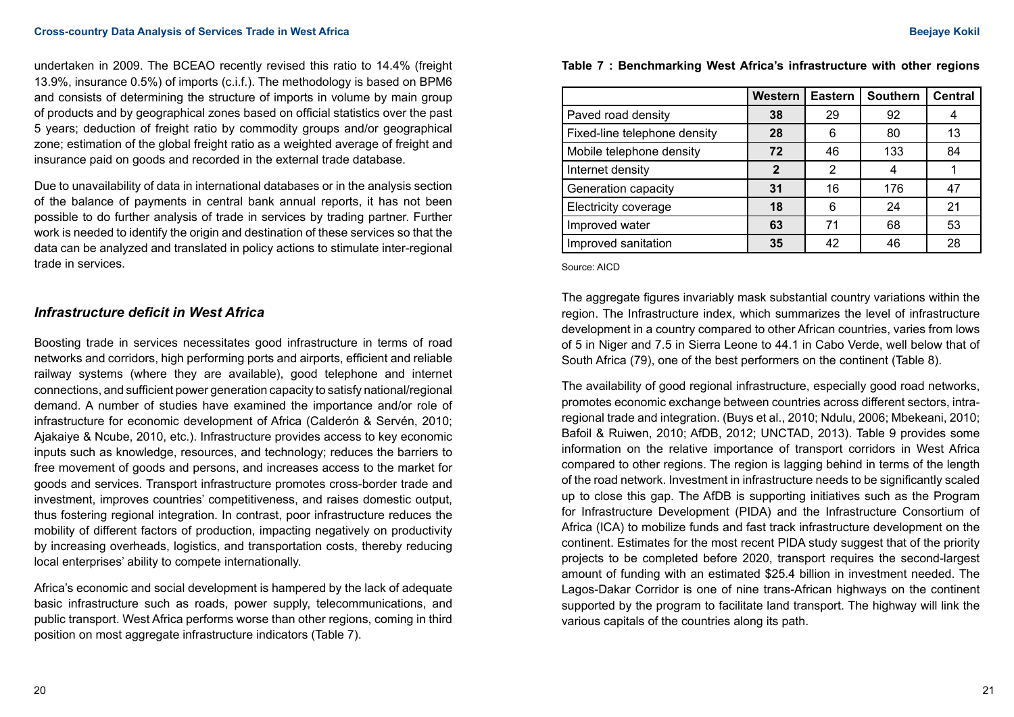undertaken in 2009. The BCEAO recently revised this ratio to 14.4% (freight 13.9%, insurance 0.5%) of imports (c.i.f.). The methodology is based on BPM6 and consists of determining the structure of imports in volume by main group of products and by geographical zones based on official statistics over the past 5 years; deduction of freight ratio by commodity groups and/or geographical zone; estimation of the global freight ratio as a weighted average of freight and insurance paid on goods and recorded in the external trade database.

Due to unavailability of data in international databases or in the analysis section of the balance of payments in central bank annual reports, it has not been possible to do further analysis of trade in services by trading partner. Further work is needed to identify the origin and destination of these services so that the data can be analyzed and translated in policy actions to stimulate inter-regional trade in services.

## *Infrastructure deficit in West Africa*

Boosting trade in services necessitates good infrastructure in terms of road networks and corridors, high performing ports and airports, efficient and reliable railway systems (where they are available), good telephone and internet connections, and sufficient power generation capacity to satisfy national/regional demand. A number of studies have examined the importance and/or role of infrastructure for economic development of Africa (Calderón & Servén, 2010; Ajakaiye & Ncube, 2010, etc.). Infrastructure provides access to key economic inputs such as knowledge, resources, and technology; reduces the barriers to free movement of goods and persons, and increases access to the market for goods and services. Transport infrastructure promotes cross-border trade and investment, improves countries' competitiveness, and raises domestic output, thus fostering regional integration. In contrast, poor infrastructure reduces the mobility of different factors of production, impacting negatively on productivity by increasing overheads, logistics, and transportation costs, thereby reducing local enterprises' ability to compete internationally.

Africa's economic and social development is hampered by the lack of adequate basic infrastructure such as roads, power supply, telecommunications, and public transport. West Africa performs worse than other regions, coming in third position on most aggregate infrastructure indicators (Table 7).

**Table 7 : Benchmarking West Africa's infrastructure with other regions**

|                              | <b>Western</b> | <b>Eastern</b> | <b>Southern</b> | <b>Central</b> |
|------------------------------|----------------|----------------|-----------------|----------------|
| Paved road density           | 38             | 29             | 92              |                |
| Fixed-line telephone density | 28             | 6              | 80              | 13             |
| Mobile telephone density     | 72             | 46             | 133             | 84             |
| Internet density             | $\mathbf 2$    | 2              | 4               |                |
| Generation capacity          | 31             | 16             | 176             | 47             |
| Electricity coverage         | 18             | 6              | 24              | 21             |
| Improved water               | 63             | 71             | 68              | 53             |
| Improved sanitation          | 35             | 42             | 46              | 28             |

Source: AICD

The aggregate figures invariably mask substantial country variations within the region. The Infrastructure index, which summarizes the level of infrastructure development in a country compared to other African countries, varies from lows of 5 in Niger and 7.5 in Sierra Leone to 44.1 in Cabo Verde, well below that of South Africa (79), one of the best performers on the continent (Table 8).

The availability of good regional infrastructure, especially good road networks, promotes economic exchange between countries across different sectors, intraregional trade and integration. (Buys et al., 2010; Ndulu, 2006; Mbekeani, 2010; Bafoil & Ruiwen, 2010; AfDB, 2012; UNCTAD, 2013). Table 9 provides some information on the relative importance of transport corridors in West Africa compared to other regions. The region is lagging behind in terms of the length of the road network. Investment in infrastructure needs to be significantly scaled up to close this gap. The AfDB is supporting initiatives such as the Program for Infrastructure Development (PIDA) and the Infrastructure Consortium of Africa (ICA) to mobilize funds and fast track infrastructure development on the continent. Estimates for the most recent PIDA study suggest that of the priority projects to be completed before 2020, transport requires the second-largest amount of funding with an estimated \$25.4 billion in investment needed. The Lagos-Dakar Corridor is one of nine trans-African highways on the continent supported by the program to facilitate land transport. The highway will link the various capitals of the countries along its path.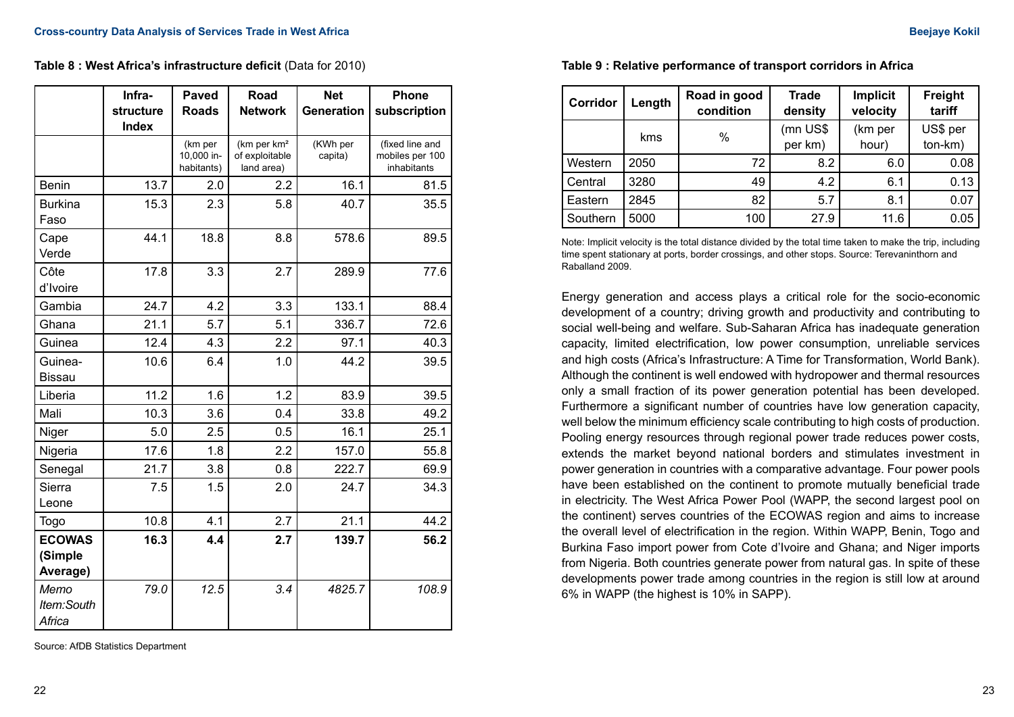**Table 8 : West Africa's infrastructure deficit** (Data for 2010)

|                                      | Infra-<br>structure<br><b>Index</b> | <b>Paved</b><br><b>Roads</b>        | Road<br><b>Network</b>                                  | <b>Net</b><br><b>Generation</b> | Phone<br>subscription                             |
|--------------------------------------|-------------------------------------|-------------------------------------|---------------------------------------------------------|---------------------------------|---------------------------------------------------|
|                                      |                                     | (km per<br>10,000 in-<br>habitants) | (km per km <sup>2</sup><br>of exploitable<br>land area) | (KWh per<br>capita)             | (fixed line and<br>mobiles per 100<br>inhabitants |
| <b>Benin</b>                         | 13.7                                | 2.0                                 | 2.2                                                     | 16.1                            | 81.5                                              |
| <b>Burkina</b><br>Faso               | 15.3                                | 2.3                                 | 5.8                                                     | 40.7                            | 35.5                                              |
| Cape<br>Verde                        | 44.1                                | 18.8                                | 8.8                                                     | 578.6                           | 89.5                                              |
| Côte<br>d'Ivoire                     | 17.8                                | 3.3                                 | 2.7                                                     | 289.9                           | 77.6                                              |
| Gambia                               | 24.7                                | 4.2                                 | 3.3                                                     | 133.1                           | 88.4                                              |
| Ghana                                | 21.1                                | 5.7                                 | 5.1                                                     | 336.7                           | 72.6                                              |
| Guinea                               | 12.4                                | 4.3                                 | 2.2                                                     | 97.1                            | 40.3                                              |
| Guinea-<br><b>Bissau</b>             | 10.6                                | 6.4                                 | 1.0                                                     | 44.2                            | 39.5                                              |
| Liberia                              | 11.2                                | 1.6                                 | 1.2                                                     | 83.9                            | 39.5                                              |
| Mali                                 | 10.3                                | 3.6                                 | 0.4                                                     | 33.8                            | 49.2                                              |
| Niger                                | 5.0                                 | 2.5                                 | 0.5                                                     | 16.1                            | 25.1                                              |
| Nigeria                              | 17.6                                | 1.8                                 | 2.2                                                     | 157.0                           | 55.8                                              |
| Senegal                              | 21.7                                | 3.8                                 | 0.8                                                     | 222.7                           | 69.9                                              |
| Sierra<br>Leone                      | 7.5                                 | 1.5                                 | 2.0                                                     | 24.7                            | 34.3                                              |
| Togo                                 | 10.8                                | 4.1                                 | 2.7                                                     | 21.1                            | 44.2                                              |
| <b>ECOWAS</b><br>(Simple<br>Average) | 16.3                                | 4.4                                 | 2.7                                                     | 139.7                           | 56.2                                              |
| Memo<br>Item:South<br>Africa         | 79.0                                | 12.5                                | 3.4                                                     | 4825.7                          | 108.9                                             |

Source: AfDB Statistics Department

| Corridor | Length | Road in good<br>condition | <b>Trade</b><br>density | <b>Implicit</b><br>velocity | Freight<br>tariff   |
|----------|--------|---------------------------|-------------------------|-----------------------------|---------------------|
|          | kms    | %                         | (mn US\$<br>per km)     | (km per<br>hour)            | US\$ per<br>ton-km) |
| Western  | 2050   | 72                        | 8.2                     | 6.0                         | 0.08                |
| Central  | 3280   | 49                        | 4.2                     | 6.1                         | 0.13                |
| Eastern  | 2845   | 82                        | 5.7                     | 8.1                         | 0.07                |
| Southern | 5000   | 100                       | 27.9                    | 11.6                        | 0.05                |

**Table 9 : Relative performance of transport corridors in Africa**

Note: Implicit velocity is the total distance divided by the total time taken to make the trip, including time spent stationary at ports, border crossings, and other stops. Source: Terevaninthorn and Raballand 2009.

Energy generation and access plays a critical role for the socio-economic development of a country; driving growth and productivity and contributing to social well-being and welfare. Sub-Saharan Africa has inadequate generation capacity, limited electrification, low power consumption, unreliable services and high costs (Africa's Infrastructure: A Time for Transformation, World Bank). Although the continent is well endowed with hydropower and thermal resources only a small fraction of its power generation potential has been developed. Furthermore a significant number of countries have low generation capacity, well below the minimum efficiency scale contributing to high costs of production. Pooling energy resources through regional power trade reduces power costs, extends the market beyond national borders and stimulates investment in power generation in countries with a comparative advantage. Four power pools have been established on the continent to promote mutually beneficial trade in electricity. The West Africa Power Pool (WAPP, the second largest pool on the continent) serves countries of the ECOWAS region and aims to increase the overall level of electrification in the region. Within WAPP, Benin, Togo and Burkina Faso import power from Cote d'Ivoire and Ghana; and Niger imports from Nigeria. Both countries generate power from natural gas. In spite of these developments power trade among countries in the region is still low at around 6% in WAPP (the highest is 10% in SAPP).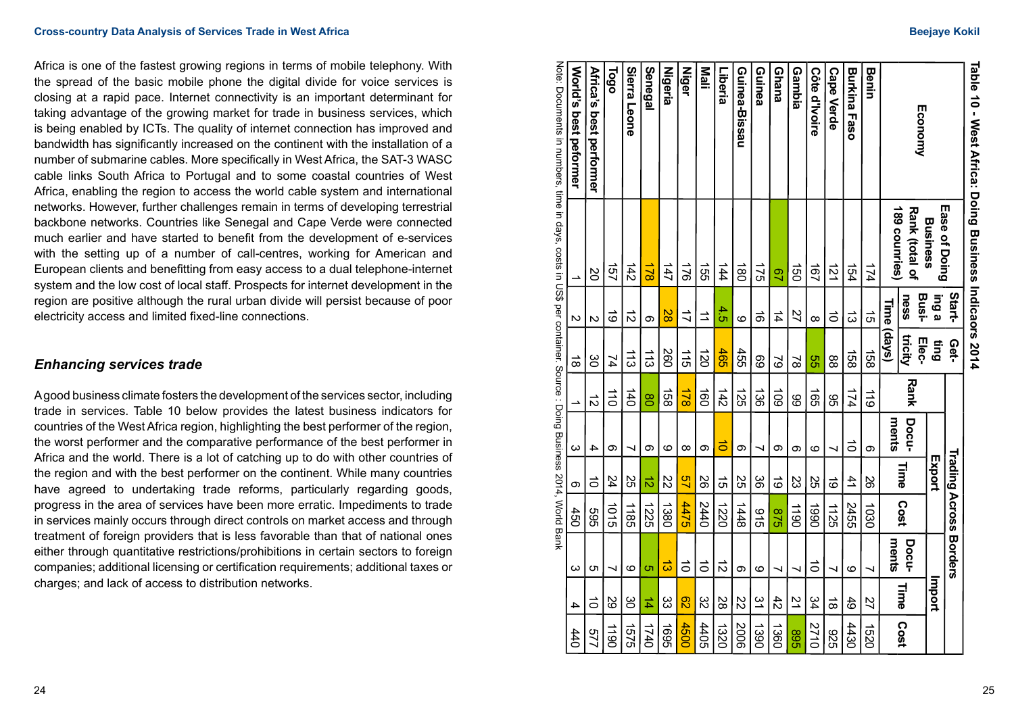Africa is one of the fastest growing regions in terms of mobile telephony. With the spread of the basic mobile phone the digital divide for voice services is closing at a rapid pace. Internet connectivity is an important determinant for taking advantage of the growing market for trade in business services, which is being enabled by ICTs. The quality of internet connection has improved and bandwidth has significantly increased on the continent with the installation of a number of submarine cables. More specifically in West Africa, the SAT-3 WASC cable links South Africa to Portugal and to some coastal countries of West Africa, enabling the region to access the world cable system and international networks. However, further challenges remain in terms of developing terrestrial backbone networks. Countries like Senegal and Cape Verde were connected much earlier and have started to benefit from the development of e-services with the setting up of a number of call-centres, working for American and European clients and benefitting from easy access to a dual telephone-internet system and the low cost of local staff. Prospects for internet development in the region are positive although the rural urban divide will persist because of poor electricity access and limited fixed-line connections.

## *Enhancing services trade*

A good business climate fosters the development of the services sector, including trade in services. Table 10 below provides the latest business indicators for countries of the West Africa region, highlighting the best performer of the region, the worst performer and the comparative performance of the best performer in Africa and the world. There is a lot of catching up to do with other countries of the region and with the best performer on the continent. While many countries have agreed to undertaking trade reforms, particularly regarding goods, progress in the area of services have been more erratic. Impediments to trade in services mainly occurs through direct controls on market access and through treatment of foreign providers that is less favorable than that of national ones either through quantitative restrictions/prohibitions in certain sectors to foreign companies; additional licensing or certification requirements; additional taxes or charges; and lack of access to distribution networks.

| Table 10 - West Africa: Doing Business Indiana 2014                                                                           |                       |                      |                  |                       |           |            |                 |                               |                |             |
|-------------------------------------------------------------------------------------------------------------------------------|-----------------------|----------------------|------------------|-----------------------|-----------|------------|-----------------|-------------------------------|----------------|-------------|
|                                                                                                                               | Ease of Doing         | Start-               | Get-             |                       |           |            |                 | <b>Trading Across Borders</b> |                |             |
|                                                                                                                               | <b>Business</b>       | ing a                | Sung             |                       |           | Export     |                 |                               | Import         |             |
| Economy                                                                                                                       | <b>Rank (total of</b> | Busi-<br>ness        | tricity<br>Elec- | Rank                  | Docu-     | Time       | Cost            | Docu-                         | Time           | Cost        |
|                                                                                                                               | 189 counries)         |                      | Time (days)      |                       | ments     |            |                 | ments                         |                |             |
| Benin                                                                                                                         | 174                   | ភ                    | $\frac{158}{15}$ | $\frac{110}{10}$      | σ         | 92         | 1030            | ↘                             | 27             | 1520        |
| Burkina Faso                                                                                                                  | 154                   | ದ                    | <u>යි</u>        | 174                   | $\vec{0}$ | $\ddot{4}$ | 2455            | ဖ                             | 49             | 4430        |
| Cape Verde                                                                                                                    | $\vec{z}$             | $\vec{0}$            | $\frac{8}{2}$    | 9S                    | ⊣         | ಠ          | 1125            | ↘                             | ಹ              | 329         |
| Côte d'Ivoire                                                                                                                 | 191                   | $\infty$             | 9g               | $\overrightarrow{65}$ | ဖ         | S2         | 0661            | $\vec{0}$                     | 34             | 2710        |
| Gambia                                                                                                                        | ຍິ                    | 27                   | 2                | 66                    | တ         | ಜ          | 1190            | ∼                             | $\overline{2}$ | <b>S68</b>  |
| Ghana                                                                                                                         | g                     | 14                   | 2                | $\overline{5}$        | თ         | ಹ          | 928             | ↘                             | 42             | 1360        |
| Guinea                                                                                                                        | 175                   | $\vec{0}$            | 69               | 38                    | ↘         | 88         | $\frac{6}{2}$   | ဖ                             | 31             | 1390        |
| Guinea-Bissau                                                                                                                 | <u>ន្</u>             | ဖ                    | 455              | 125                   | တ         | S2         | 1448            | တ                             | 22             | 9002        |
| Liberia                                                                                                                       | 144                   | 4.5                  | 465              | $\frac{142}{5}$       | $\vec{0}$ | ີ ຕ        | 1220            | $\vec{D}$                     | 28             | 1320        |
| <b>Mali</b>                                                                                                                   | ξģ                    | $\overrightarrow{=}$ | $\vec{50}$       | $\vec{50}$            | တ         | 92         | 2440            | $\vec{0}$                     | ξŠ             | 4405        |
| <b>Niger</b>                                                                                                                  | $\frac{1}{2}$         | ゴ                    | $\frac{1}{2}$    | $\frac{1}{2}$         | $\infty$  | 92         | 4475            | $\vec{0}$                     | $\overline{8}$ | 4500        |
| <b>Nigeria</b>                                                                                                                | 147                   | 82                   | 260              | $\frac{158}{158}$     | ဖ         | 22         | 1380            | ಹ                             | జ              | 1695        |
| <b>Senegal</b>                                                                                                                | $\frac{1}{2}$         | တ                    | 113              | $\overline{8}$        | σ         | $\vec{D}$  | 1225            | Öī                            | $\frac{4}{4}$  | 1740        |
| Sierra Leone                                                                                                                  | 142                   | ನ                    | 113              | $\frac{140}{1}$       | ↘         | S2         | 1185            | ဖ                             | မွ             | <b>1575</b> |
| Togo                                                                                                                          | 497                   | ಹೆ                   | 74               | $\overrightarrow{0}$  | Φ         | 24         | $\frac{10}{10}$ | ↘                             | 29             | 1190        |
| Africa's best performer                                                                                                       | 2O                    | N                    | မွ               | $\vec{D}$             | 4         | ਠੋ         | 595             | cл                            | $\vec{0}$      | <b>577</b>  |
| World's best peformer                                                                                                         |                       | $\mathsf{N}$         | $\vec{\infty}$   | ۸                     | ω         | თ          | 450             | ω                             | 4              | 440         |
| Note: Documents in numbers, time in days, costs in days, costs in US\$ per container. Socie signing Business 2014, World Bank |                       |                      |                  |                       |           |            |                 |                               |                |             |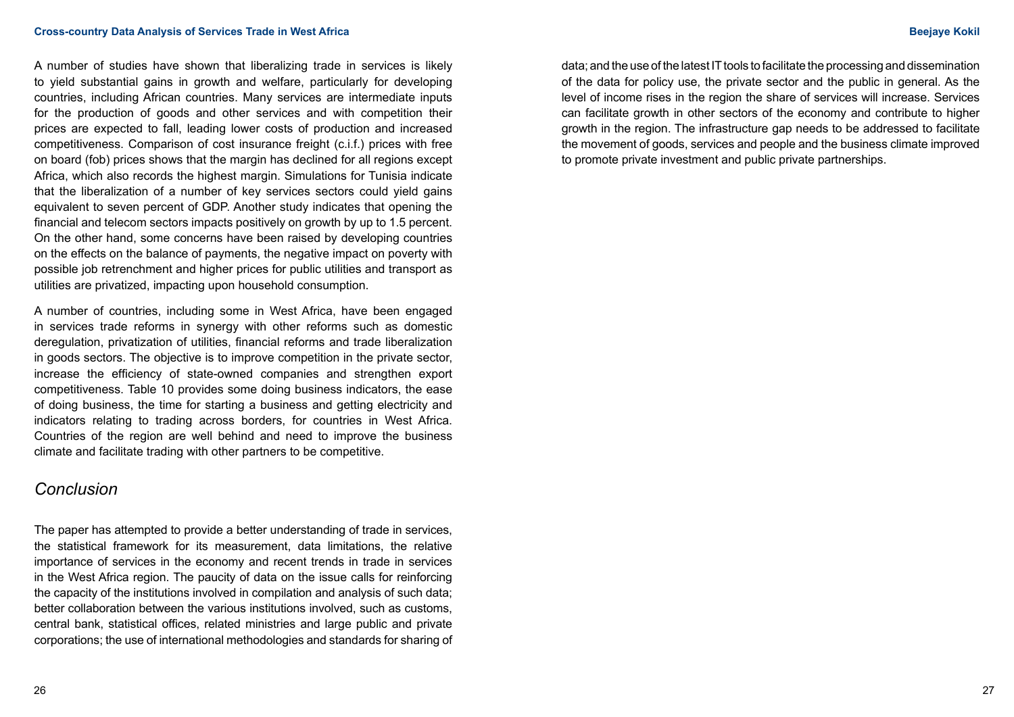A number of studies have shown that liberalizing trade in services is likely to yield substantial gains in growth and welfare, particularly for developing countries, including African countries. Many services are intermediate inputs for the production of goods and other services and with competition their prices are expected to fall, leading lower costs of production and increased competitiveness. Comparison of cost insurance freight (c.i.f.) prices with free on board (fob) prices shows that the margin has declined for all regions except Africa, which also records the highest margin. Simulations for Tunisia indicate that the liberalization of a number of key services sectors could yield gains equivalent to seven percent of GDP. Another study indicates that opening the financial and telecom sectors impacts positively on growth by up to 1.5 percent. On the other hand, some concerns have been raised by developing countries on the effects on the balance of payments, the negative impact on poverty with possible job retrenchment and higher prices for public utilities and transport as utilities are privatized, impacting upon household consumption.

A number of countries, including some in West Africa, have been engaged in services trade reforms in synergy with other reforms such as domestic deregulation, privatization of utilities, financial reforms and trade liberalization in goods sectors. The objective is to improve competition in the private sector, increase the efficiency of state-owned companies and strengthen export competitiveness. Table 10 provides some doing business indicators, the ease of doing business, the time for starting a business and getting electricity and indicators relating to trading across borders, for countries in West Africa. Countries of the region are well behind and need to improve the business climate and facilitate trading with other partners to be competitive.

# *Conclusion*

The paper has attempted to provide a better understanding of trade in services, the statistical framework for its measurement, data limitations, the relative importance of services in the economy and recent trends in trade in services in the West Africa region. The paucity of data on the issue calls for reinforcing the capacity of the institutions involved in compilation and analysis of such data; better collaboration between the various institutions involved, such as customs, central bank, statistical offices, related ministries and large public and private corporations; the use of international methodologies and standards for sharing of data; and the use of the latest IT tools to facilitate the processing and dissemination of the data for policy use, the private sector and the public in general. As the level of income rises in the region the share of services will increase. Services can facilitate growth in other sectors of the economy and contribute to higher growth in the region. The infrastructure gap needs to be addressed to facilitate the movement of goods, services and people and the business climate improved to promote private investment and public private partnerships.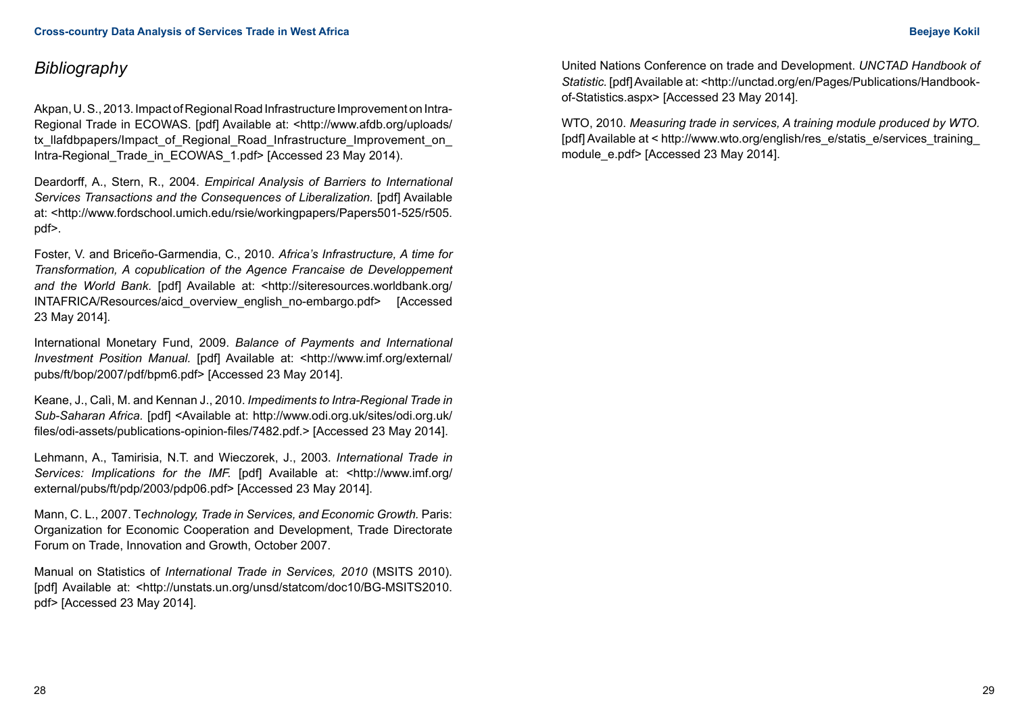# *Bibliography*

Akpan, U. S., 2013. Impact of Regional Road Infrastructure Improvement on Intra-Regional Trade in ECOWAS. [pdf] Available at: <http://www.afdb.org/uploads/ tx\_llafdbpapers/Impact\_of\_Regional\_Road\_Infrastructure\_Improvement\_on Intra-Regional Trade in ECOWAS 1.pdf> [Accessed 23 May 2014).

Deardorff, A., Stern, R., 2004. *Empirical Analysis of Barriers to International Services Transactions and the Consequences of Liberalization.* [pdf] Available at: <http://www.fordschool.umich.edu/rsie/workingpapers/Papers501-525/r505. pdf>.

Foster, V. and Briceño-Garmendia, C., 2010. *Africa's Infrastructure, A time for Transformation, A copublication of the Agence Francaise de Developpement and the World Bank.* [pdf] Available at: <http://siteresources.worldbank.org/ INTAFRICA/Resources/aicd\_overview\_english\_no-embargo.pdf> [Accessed 23 May 2014].

International Monetary Fund, 2009. *Balance of Payments and International Investment Position Manual.* [pdf] Available at: <http://www.imf.org/external/ pubs/ft/bop/2007/pdf/bpm6.pdf> [Accessed 23 May 2014].

Keane, J., Calì, M. and Kennan J., 2010. *Impediments to Intra-Regional Trade in Sub-Saharan Africa.* [pdf] <Available at: http://www.odi.org.uk/sites/odi.org.uk/ files/odi-assets/publications-opinion-files/7482.pdf.> [Accessed 23 May 2014].

Lehmann, A., Tamirisia, N.T. and Wieczorek, J., 2003. *International Trade in Services: Implications for the IMF.* [pdf] Available at: <http://www.imf.org/ external/pubs/ft/pdp/2003/pdp06.pdf> [Accessed 23 May 2014].

Mann, C. L., 2007. T*echnology, Trade in Services, and Economic Growth.* Paris: Organization for Economic Cooperation and Development, Trade Directorate Forum on Trade, Innovation and Growth, October 2007.

Manual on Statistics of *International Trade in Services, 2010* (MSITS 2010). [pdf] Available at: <http://unstats.un.org/unsd/statcom/doc10/BG-MSITS2010. pdf> [Accessed 23 May 2014].

United Nations Conference on trade and Development. *UNCTAD Handbook of*  Statistic. [pdf] Available at: <http://unctad.org/en/Pages/Publications/Handbookof-Statistics.aspx> [Accessed 23 May 2014].

WTO, 2010. *Measuring trade in services, A training module produced by WTO.*  [pdf] Available at < http://www.wto.org/english/res\_e/statis\_e/services\_training\_ module\_e.pdf> [Accessed 23 May 2014].